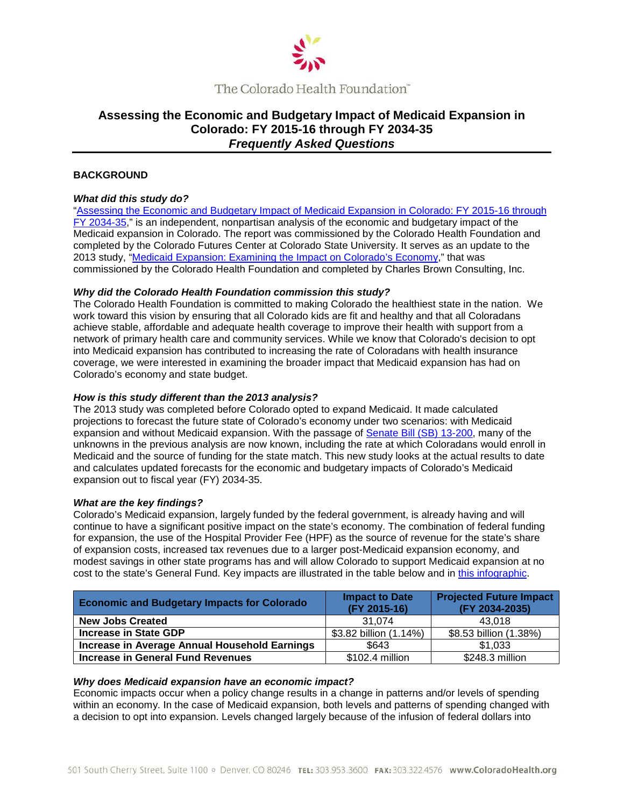

# **Assessing the Economic and Budgetary Impact of Medicaid Expansion in Colorado: FY 2015-16 through FY 2034-35** *Frequently Asked Questions*

## **BACKGROUND**

### *What did this study do?*

["Assessing the Economic and Budgetary Impact of Medicaid Expansion in Colorado: FY 2015-16 through](http://www.coloradohealth.org/WorkArea/DownloadAsset.aspx?id=8222)  [FY 2034-35,"](http://www.coloradohealth.org/WorkArea/DownloadAsset.aspx?id=8222) is an independent, nonpartisan analysis of the economic and budgetary impact of the Medicaid expansion in Colorado. The report was commissioned by the Colorado Health Foundation and completed by the Colorado Futures Center at Colorado State University. It serves as an update to the 2013 study, ["Medicaid Expansion: Examining the Impact on Colorado's Economy,](http://www.coloradohealth.org/WorkArea/linkit.aspx?LinkIdentifier=id&ItemID=6240)" that was commissioned by the Colorado Health Foundation and completed by Charles Brown Consulting, Inc.

### *Why did the Colorado Health Foundation commission this study?*

The Colorado Health Foundation is committed to making Colorado the healthiest state in the nation. We work toward this vision by ensuring that all Colorado kids are fit and healthy and that all Coloradans achieve stable, affordable and adequate health coverage to improve their health with support from a network of primary health care and community services. While we know that Colorado's decision to opt into Medicaid expansion has contributed to increasing the rate of Coloradans with health insurance coverage, we were interested in examining the broader impact that Medicaid expansion has had on Colorado's economy and state budget.

### *How is this study different than the 2013 analysis?*

The 2013 study was completed before Colorado opted to expand Medicaid. It made calculated projections to forecast the future state of Colorado's economy under two scenarios: with Medicaid expansion and without Medicaid expansion. With the passage of [Senate Bill \(SB\) 13-200,](http://www.leg.state.co.us/clics/clics2013a/csl.nsf/fsbillcont2/8A3C037DB1746F5787257A83006D05A8/$FILE/200_enr.pdf) many of the unknowns in the previous analysis are now known, including the rate at which Coloradans would enroll in Medicaid and the source of funding for the state match. This new study looks at the actual results to date and calculates updated forecasts for the economic and budgetary impacts of Colorado's Medicaid expansion out to fiscal year (FY) 2034-35.

### *What are the key findings?*

Colorado's Medicaid expansion, largely funded by the federal government, is already having and will continue to have a significant positive impact on the state's economy. The combination of federal funding for expansion, the use of the Hospital Provider Fee (HPF) as the source of revenue for the state's share of expansion costs, increased tax revenues due to a larger post-Medicaid expansion economy, and modest savings in other state programs has and will allow Colorado to support Medicaid expansion at no cost to the state's General Fund. Key impacts are illustrated in the table below and in [this infographic.](http://www.coloradohealth.org/WorkArea/DownloadAsset.aspx?id=8221)

| <b>Economic and Budgetary Impacts for Colorado</b> | <b>Impact to Date</b><br>(FY 2015-16) | <b>Projected Future Impact</b><br>(FY 2034-2035) |
|----------------------------------------------------|---------------------------------------|--------------------------------------------------|
| <b>New Jobs Created</b>                            | 31.074                                | 43.018                                           |
| <b>Increase in State GDP</b>                       | \$3.82 billion (1.14%)                | \$8.53 billion (1.38%)                           |
| Increase in Average Annual Household Earnings      | \$643                                 | \$1,033                                          |
| <b>Increase in General Fund Revenues</b>           | \$102.4 million                       | \$248.3 million                                  |

#### *Why does Medicaid expansion have an economic impact?*

Economic impacts occur when a policy change results in a change in patterns and/or levels of spending within an economy. In the case of Medicaid expansion, both levels and patterns of spending changed with a decision to opt into expansion. Levels changed largely because of the infusion of federal dollars into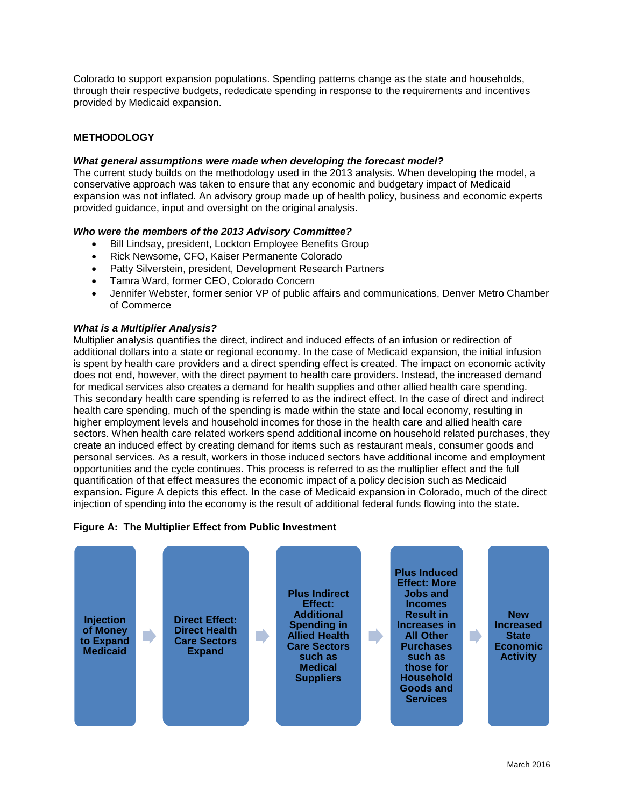Colorado to support expansion populations. Spending patterns change as the state and households, through their respective budgets, rededicate spending in response to the requirements and incentives provided by Medicaid expansion.

# **METHODOLOGY**

### *What general assumptions were made when developing the forecast model?*

The current study builds on the methodology used in the 2013 analysis. When developing the model, a conservative approach was taken to ensure that any economic and budgetary impact of Medicaid expansion was not inflated. An advisory group made up of health policy, business and economic experts provided guidance, input and oversight on the original analysis.

### *Who were the members of the 2013 Advisory Committee?*

- Bill Lindsay, president, Lockton Employee Benefits Group
- Rick Newsome, CFO, Kaiser Permanente Colorado
- Patty Silverstein, president, Development Research Partners
- Tamra Ward, former CEO, Colorado Concern
- Jennifer Webster, former senior VP of public affairs and communications, Denver Metro Chamber of Commerce

### *What is a Multiplier Analysis?*

Multiplier analysis quantifies the direct, indirect and induced effects of an infusion or redirection of additional dollars into a state or regional economy. In the case of Medicaid expansion, the initial infusion is spent by health care providers and a direct spending effect is created. The impact on economic activity does not end, however, with the direct payment to health care providers. Instead, the increased demand for medical services also creates a demand for health supplies and other allied health care spending. This secondary health care spending is referred to as the indirect effect. In the case of direct and indirect health care spending, much of the spending is made within the state and local economy, resulting in higher employment levels and household incomes for those in the health care and allied health care sectors. When health care related workers spend additional income on household related purchases, they create an induced effect by creating demand for items such as restaurant meals, consumer goods and personal services. As a result, workers in those induced sectors have additional income and employment opportunities and the cycle continues. This process is referred to as the multiplier effect and the full quantification of that effect measures the economic impact of a policy decision such as Medicaid expansion. Figure A depicts this effect. In the case of Medicaid expansion in Colorado, much of the direct injection of spending into the economy is the result of additional federal funds flowing into the state.

### **Figure A: The Multiplier Effect from Public Investment**

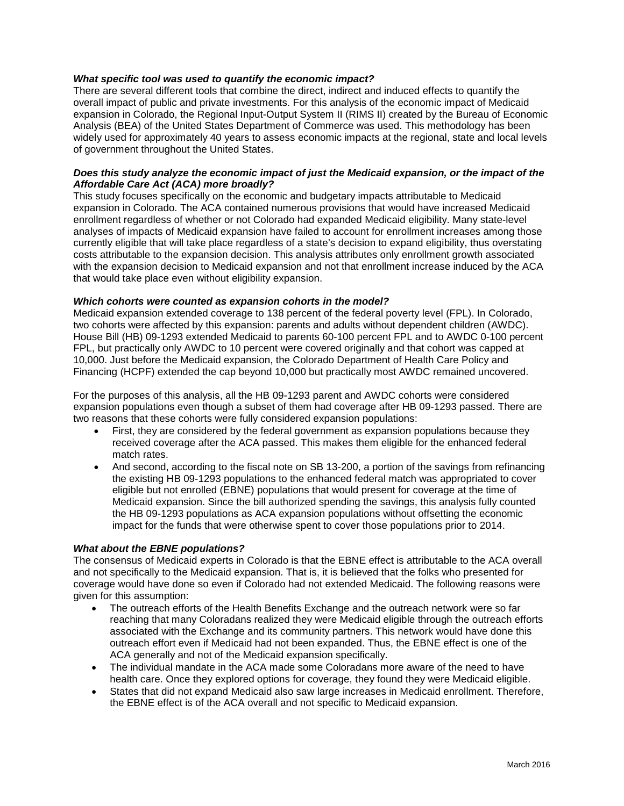### *What specific tool was used to quantify the economic impact?*

There are several different tools that combine the direct, indirect and induced effects to quantify the overall impact of public and private investments. For this analysis of the economic impact of Medicaid expansion in Colorado, the Regional Input-Output System II (RIMS II) created by the Bureau of Economic Analysis (BEA) of the United States Department of Commerce was used. This methodology has been widely used for approximately 40 years to assess economic impacts at the regional, state and local levels of government throughout the United States.

### *Does this study analyze the economic impact of just the Medicaid expansion, or the impact of the Affordable Care Act (ACA) more broadly?*

This study focuses specifically on the economic and budgetary impacts attributable to Medicaid expansion in Colorado. The ACA contained numerous provisions that would have increased Medicaid enrollment regardless of whether or not Colorado had expanded Medicaid eligibility. Many state-level analyses of impacts of Medicaid expansion have failed to account for enrollment increases among those currently eligible that will take place regardless of a state's decision to expand eligibility, thus overstating costs attributable to the expansion decision. This analysis attributes only enrollment growth associated with the expansion decision to Medicaid expansion and not that enrollment increase induced by the ACA that would take place even without eligibility expansion.

### *Which cohorts were counted as expansion cohorts in the model?*

Medicaid expansion extended coverage to 138 percent of the federal poverty level (FPL). In Colorado, two cohorts were affected by this expansion: parents and adults without dependent children (AWDC). House Bill (HB) 09-1293 extended Medicaid to parents 60-100 percent FPL and to AWDC 0-100 percent FPL, but practically only AWDC to 10 percent were covered originally and that cohort was capped at 10,000. Just before the Medicaid expansion, the Colorado Department of Health Care Policy and Financing (HCPF) extended the cap beyond 10,000 but practically most AWDC remained uncovered.

For the purposes of this analysis, all the HB 09-1293 parent and AWDC cohorts were considered expansion populations even though a subset of them had coverage after HB 09-1293 passed. There are two reasons that these cohorts were fully considered expansion populations:

- First, they are considered by the federal government as expansion populations because they received coverage after the ACA passed. This makes them eligible for the enhanced federal match rates.
- And second, according to the fiscal note on SB 13-200, a portion of the savings from refinancing the existing HB 09-1293 populations to the enhanced federal match was appropriated to cover eligible but not enrolled (EBNE) populations that would present for coverage at the time of Medicaid expansion. Since the bill authorized spending the savings, this analysis fully counted the HB 09-1293 populations as ACA expansion populations without offsetting the economic impact for the funds that were otherwise spent to cover those populations prior to 2014.

#### *What about the EBNE populations?*

The consensus of Medicaid experts in Colorado is that the EBNE effect is attributable to the ACA overall and not specifically to the Medicaid expansion. That is, it is believed that the folks who presented for coverage would have done so even if Colorado had not extended Medicaid. The following reasons were given for this assumption:

- The outreach efforts of the Health Benefits Exchange and the outreach network were so far reaching that many Coloradans realized they were Medicaid eligible through the outreach efforts associated with the Exchange and its community partners. This network would have done this outreach effort even if Medicaid had not been expanded. Thus, the EBNE effect is one of the ACA generally and not of the Medicaid expansion specifically.
- The individual mandate in the ACA made some Coloradans more aware of the need to have health care. Once they explored options for coverage, they found they were Medicaid eligible.
- States that did not expand Medicaid also saw large increases in Medicaid enrollment. Therefore, the EBNE effect is of the ACA overall and not specific to Medicaid expansion.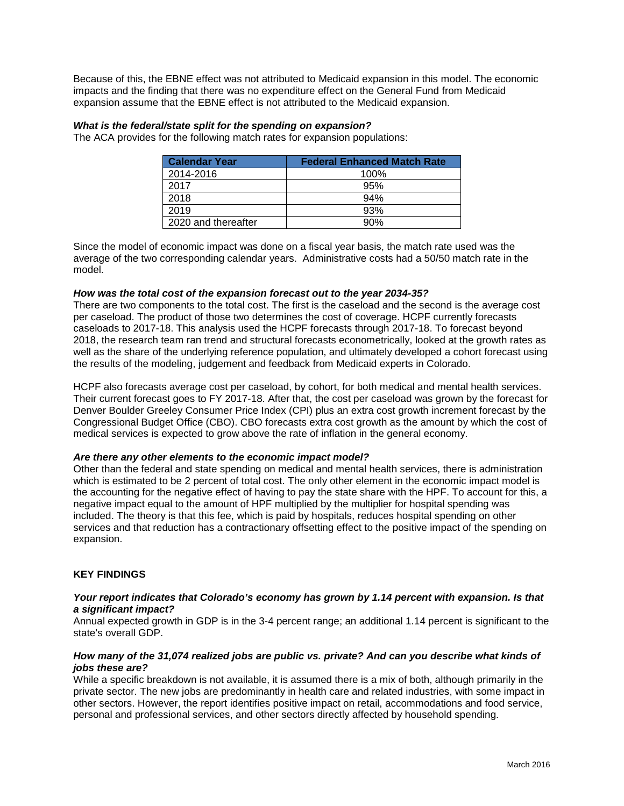Because of this, the EBNE effect was not attributed to Medicaid expansion in this model. The economic impacts and the finding that there was no expenditure effect on the General Fund from Medicaid expansion assume that the EBNE effect is not attributed to the Medicaid expansion.

### *What is the federal/state split for the spending on expansion?*

The ACA provides for the following match rates for expansion populations:

| <b>Calendar Year</b> | <b>Federal Enhanced Match Rate</b> |
|----------------------|------------------------------------|
| 2014-2016            | 100%                               |
| 2017                 | 95%                                |
| 2018                 | 94%                                |
| 2019                 | 93%                                |
| 2020 and thereafter  | 90%                                |

Since the model of economic impact was done on a fiscal year basis, the match rate used was the average of the two corresponding calendar years. Administrative costs had a 50/50 match rate in the model.

### *How was the total cost of the expansion forecast out to the year 2034-35?*

There are two components to the total cost. The first is the caseload and the second is the average cost per caseload. The product of those two determines the cost of coverage. HCPF currently forecasts caseloads to 2017-18. This analysis used the HCPF forecasts through 2017-18. To forecast beyond 2018, the research team ran trend and structural forecasts econometrically, looked at the growth rates as well as the share of the underlying reference population, and ultimately developed a cohort forecast using the results of the modeling, judgement and feedback from Medicaid experts in Colorado.

HCPF also forecasts average cost per caseload, by cohort, for both medical and mental health services. Their current forecast goes to FY 2017-18. After that, the cost per caseload was grown by the forecast for Denver Boulder Greeley Consumer Price Index (CPI) plus an extra cost growth increment forecast by the Congressional Budget Office (CBO). CBO forecasts extra cost growth as the amount by which the cost of medical services is expected to grow above the rate of inflation in the general economy.

#### *Are there any other elements to the economic impact model?*

Other than the federal and state spending on medical and mental health services, there is administration which is estimated to be 2 percent of total cost. The only other element in the economic impact model is the accounting for the negative effect of having to pay the state share with the HPF. To account for this, a negative impact equal to the amount of HPF multiplied by the multiplier for hospital spending was included. The theory is that this fee, which is paid by hospitals, reduces hospital spending on other services and that reduction has a contractionary offsetting effect to the positive impact of the spending on expansion.

### **KEY FINDINGS**

### *Your report indicates that Colorado's economy has grown by 1.14 percent with expansion. Is that a significant impact?*

Annual expected growth in GDP is in the 3-4 percent range; an additional 1.14 percent is significant to the state's overall GDP.

### *How many of the 31,074 realized jobs are public vs. private? And can you describe what kinds of jobs these are?*

While a specific breakdown is not available, it is assumed there is a mix of both, although primarily in the private sector. The new jobs are predominantly in health care and related industries, with some impact in other sectors. However, the report identifies positive impact on retail, accommodations and food service, personal and professional services, and other sectors directly affected by household spending.